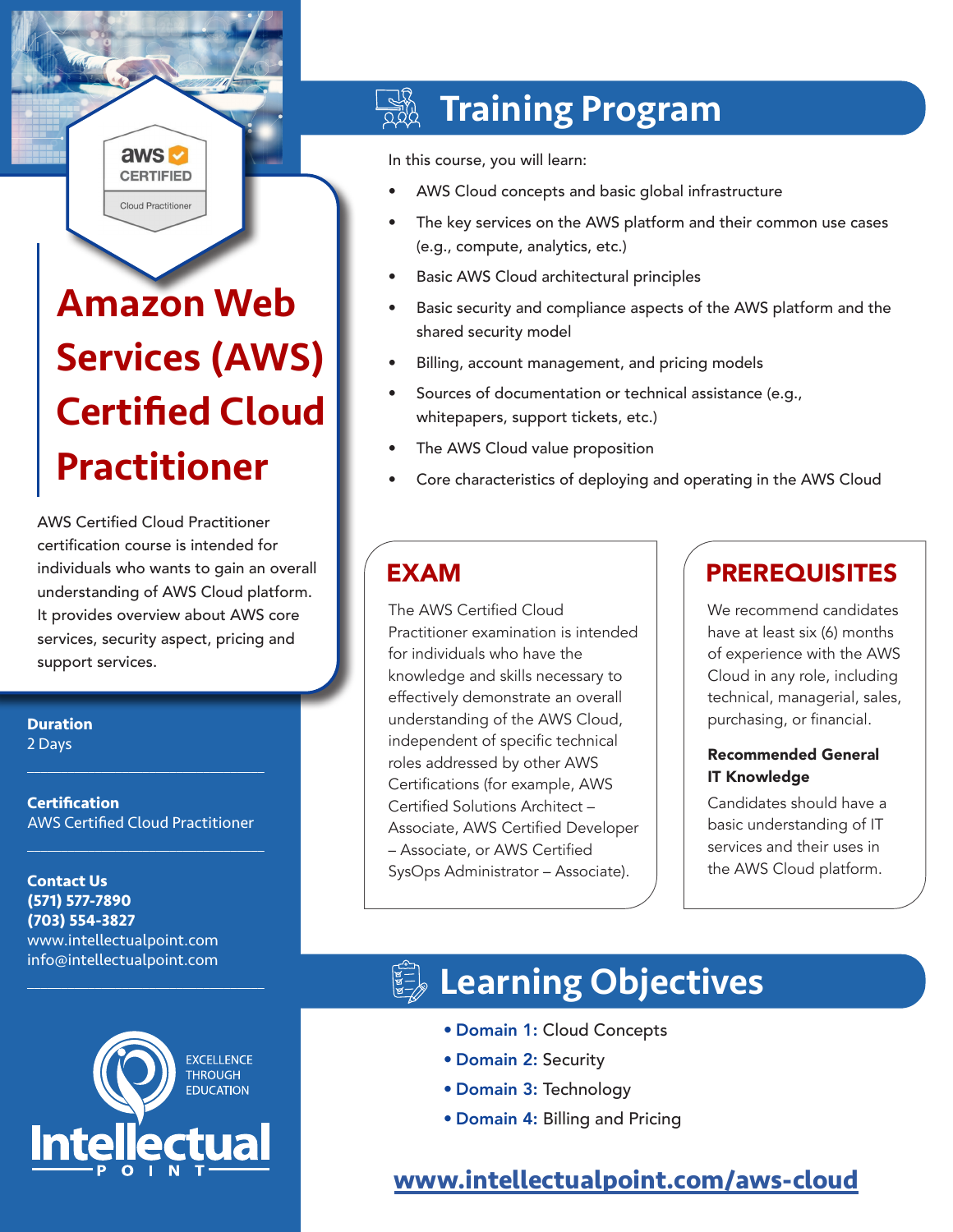# Amazon Web Services (AWS) Certified Cloud Practitioner

aws **M CERTIFIED Cloud Practitioner** 

AWS Certified Cloud Practitioner certification course is intended for individuals who wants to gain an overall understanding of AWS Cloud platform. It provides overview about AWS core services, security aspect, pricing and support services.

**Duration** 2 Days

**Certification** AWS Certified Cloud Practitioner

 $\mathcal{L}_\text{max}$  , and the set of the set of the set of the set of the set of the set of the set of the set of the set of the set of the set of the set of the set of the set of the set of the set of the set of the set of the

 $\mathcal{L}_\text{max}$  , and the set of the set of the set of the set of the set of the set of the set of the set of the set of the set of the set of the set of the set of the set of the set of the set of the set of the set of the

 $\mathcal{L}_\text{max}$  and  $\mathcal{L}_\text{max}$  and  $\mathcal{L}_\text{max}$  and  $\mathcal{L}_\text{max}$ 

**Contact Us (571) 577-7890 (703) 554-3827** www.intellectualpoint.com info@intellectualpoint.com



## Training Program

In this course, you will learn:

- AWS Cloud concepts and basic global infrastructure
- The key services on the AWS platform and their common use cases (e.g., compute, analytics, etc.)
- Basic AWS Cloud architectural principles
- Basic security and compliance aspects of the AWS platform and the shared security model
- Billing, account management, and pricing models
- Sources of documentation or technical assistance (e.g., whitepapers, support tickets, etc.)
- The AWS Cloud value proposition
- Core characteristics of deploying and operating in the AWS Cloud

The AWS Certified Cloud Practitioner examination is intended for individuals who have the knowledge and skills necessary to effectively demonstrate an overall understanding of the AWS Cloud, independent of specific technical roles addressed by other AWS Certifications (for example, AWS Certified Solutions Architect – Associate, AWS Certified Developer – Associate, or AWS Certified SysOps Administrator – Associate).

## EXAM PREREQUISITES

We recommend candidates have at least six (6) months of experience with the AWS Cloud in any role, including technical, managerial, sales, purchasing, or financial.

### Recommended General IT Knowledge

Candidates should have a basic understanding of IT services and their uses in the AWS Cloud platform.

## **Learning Objectives**

- Domain 1: Cloud Concepts
- Domain 2: Security
- Domain 3: Technology
- Domain 4: Billing and Pricing

### **[www.intellectualpoint.com/aws-cloud](https://www.intellectualpoint.com/aws-cloud)**